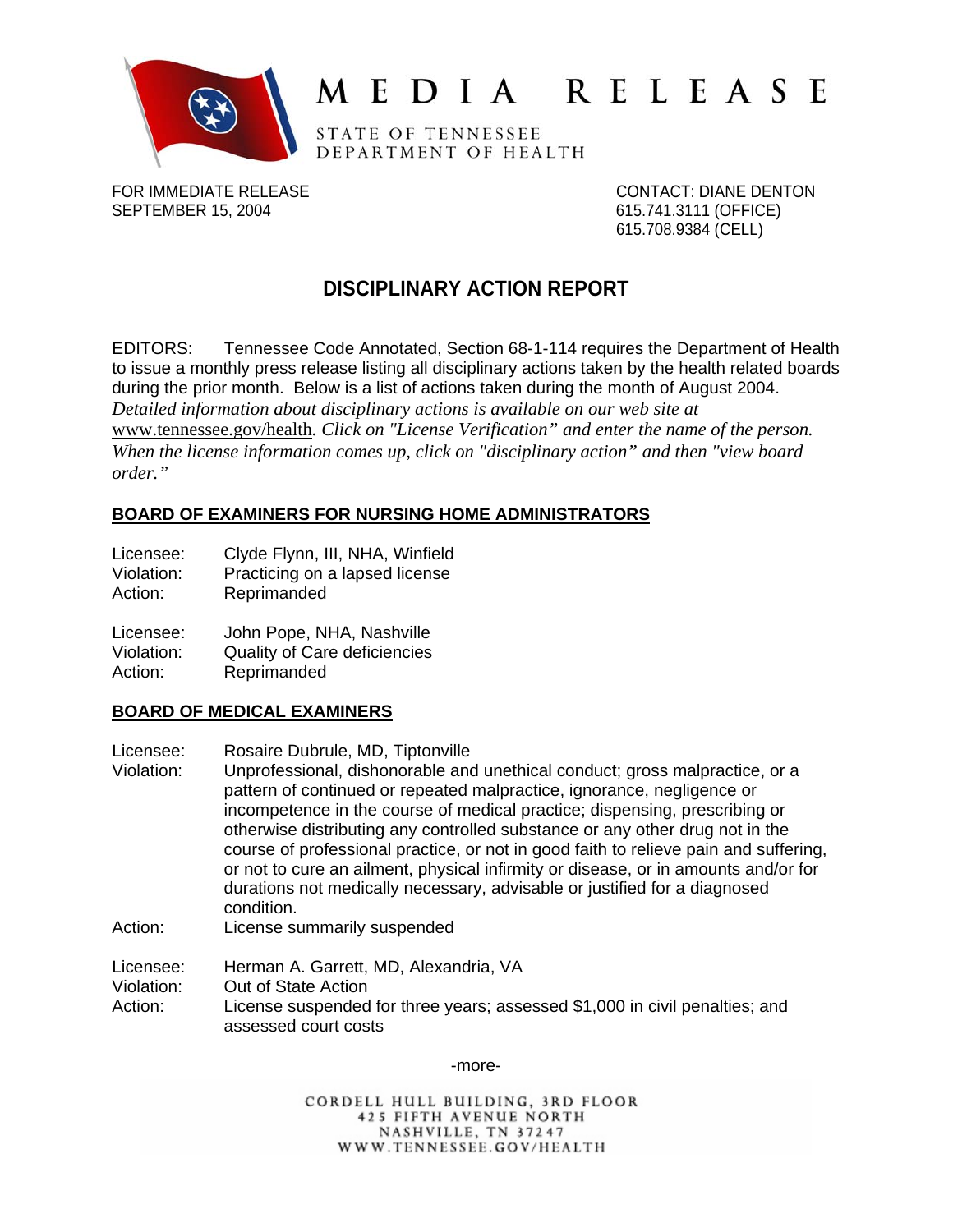

# MEDIA RELEASE

STATE OF TENNESSEE DEPARTMENT OF HEALTH

FOR IMMEDIATE RELEASE CONTACT: DIANE DENTON SEPTEMBER 15, 2004 615.741.3111 (OFFICE)

615.708.9384 (CELL)

# **DISCIPLINARY ACTION REPORT**

EDITORS: Tennessee Code Annotated, Section 68-1-114 requires the Department of Health to issue a monthly press release listing all disciplinary actions taken by the health related boards during the prior month. Below is a list of actions taken during the month of August 2004. *Detailed information about disciplinary actions is available on our web site at*  www.tennessee.gov/health*. Click on "License Verification" and enter the name of the person. When the license information comes up, click on "disciplinary action" and then "view board order."* 

# **BOARD OF EXAMINERS FOR NURSING HOME ADMINISTRATORS**

- Licensee: Clyde Flynn, III, NHA, Winfield
- Violation: Practicing on a lapsed license
- Action: Reprimanded

Licensee: John Pope, NHA, Nashville

- Violation: Quality of Care deficiencies
- Action: Reprimanded

# **BOARD OF MEDICAL EXAMINERS**

- Licensee: Rosaire Dubrule, MD, Tiptonville
- Violation: Unprofessional, dishonorable and unethical conduct; gross malpractice, or a pattern of continued or repeated malpractice, ignorance, negligence or incompetence in the course of medical practice; dispensing, prescribing or otherwise distributing any controlled substance or any other drug not in the course of professional practice, or not in good faith to relieve pain and suffering, or not to cure an ailment, physical infirmity or disease, or in amounts and/or for durations not medically necessary, advisable or justified for a diagnosed condition.
- Action: License summarily suspended

Licensee: Herman A. Garrett, MD, Alexandria, VA

Violation: Out of State Action

Action: License suspended for three years; assessed \$1,000 in civil penalties; and assessed court costs

-more-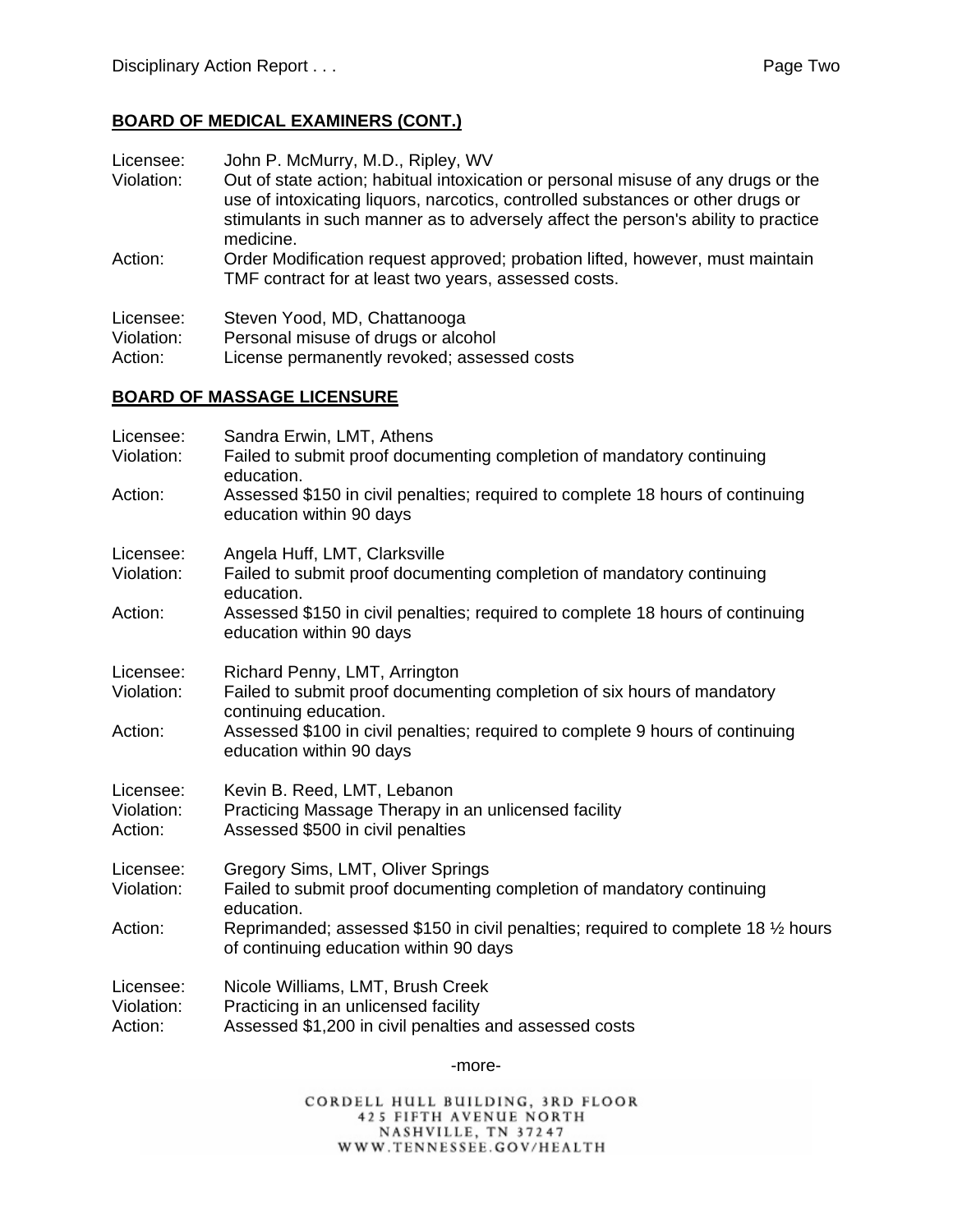#### **BOARD OF MEDICAL EXAMINERS (CONT.)**

Licensee: John P. McMurry, M.D., Ripley, WV

- Violation: Out of state action; habitual intoxication or personal misuse of any drugs or the use of intoxicating liquors, narcotics, controlled substances or other drugs or stimulants in such manner as to adversely affect the person's ability to practice medicine.
- Action: Order Modification request approved; probation lifted, however, must maintain TMF contract for at least two years, assessed costs.

| Licensee:  | Steven Yood, MD, Chattanooga        |
|------------|-------------------------------------|
| Violation: | Personal misuse of drugs or alcohol |

Action: License permanently revoked; assessed costs

#### **BOARD OF MASSAGE LICENSURE**

| Licensee:<br>Violation:            | Sandra Erwin, LMT, Athens<br>Failed to submit proof documenting completion of mandatory continuing<br>education.                    |
|------------------------------------|-------------------------------------------------------------------------------------------------------------------------------------|
| Action:                            | Assessed \$150 in civil penalties; required to complete 18 hours of continuing<br>education within 90 days                          |
| Licensee:<br>Violation:            | Angela Huff, LMT, Clarksville<br>Failed to submit proof documenting completion of mandatory continuing<br>education.                |
| Action:                            | Assessed \$150 in civil penalties; required to complete 18 hours of continuing<br>education within 90 days                          |
| Licensee:<br>Violation:            | Richard Penny, LMT, Arrington<br>Failed to submit proof documenting completion of six hours of mandatory<br>continuing education.   |
| Action:                            | Assessed \$100 in civil penalties; required to complete 9 hours of continuing<br>education within 90 days                           |
| Licensee:<br>Violation:<br>Action: | Kevin B. Reed, LMT, Lebanon<br>Practicing Massage Therapy in an unlicensed facility<br>Assessed \$500 in civil penalties            |
| Licensee:<br>Violation:            | Gregory Sims, LMT, Oliver Springs<br>Failed to submit proof documenting completion of mandatory continuing<br>education.            |
| Action:                            | Reprimanded; assessed \$150 in civil penalties; required to complete 18 1/2 hours<br>of continuing education within 90 days         |
| Licensee:<br>Violation:<br>Action: | Nicole Williams, LMT, Brush Creek<br>Practicing in an unlicensed facility<br>Assessed \$1,200 in civil penalties and assessed costs |

-more-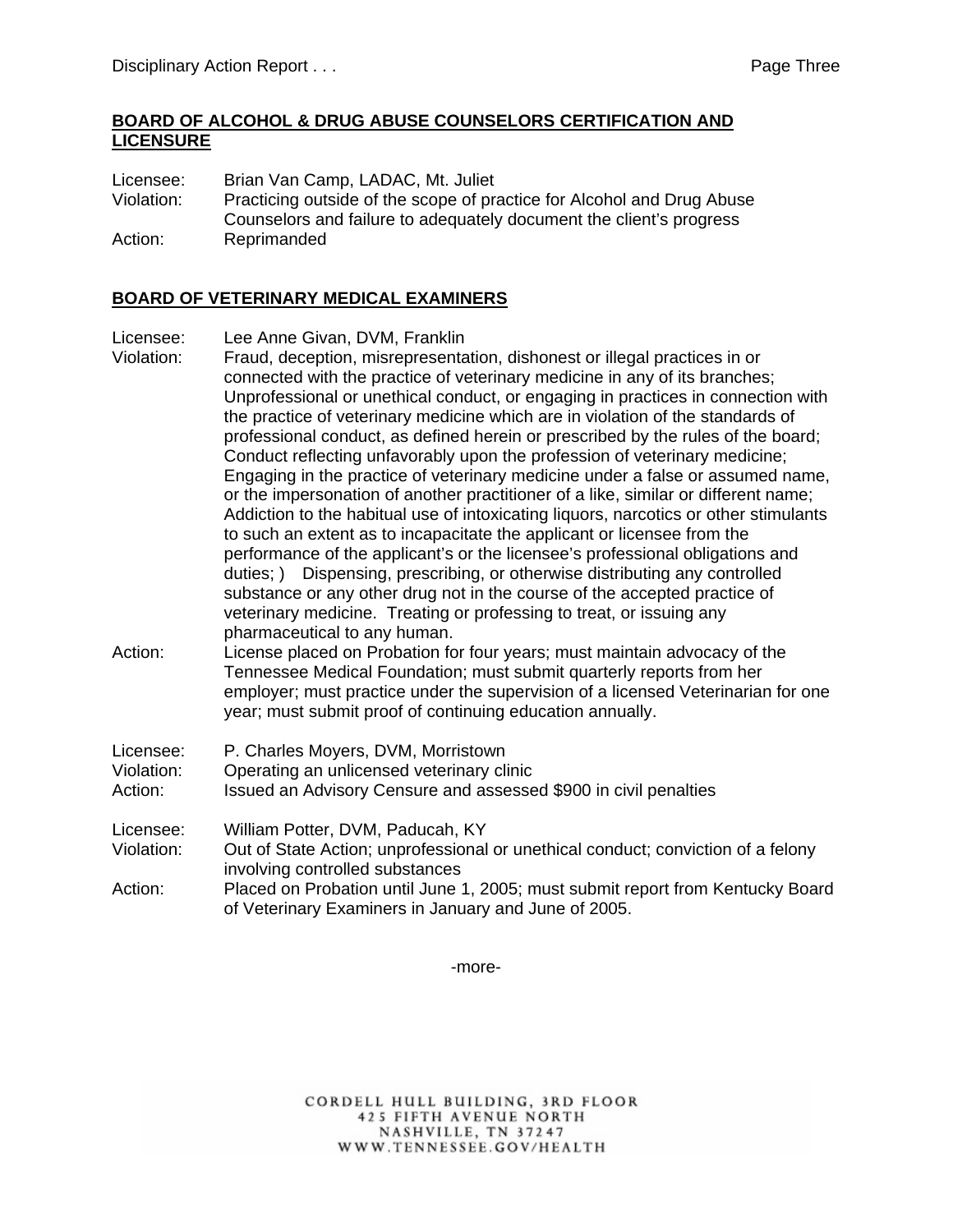#### **BOARD OF ALCOHOL & DRUG ABUSE COUNSELORS CERTIFICATION AND LICENSURE**

Licensee: Brian Van Camp, LADAC, Mt. Juliet Violation: Practicing outside of the scope of practice for Alcohol and Drug Abuse Counselors and failure to adequately document the client's progress Action: Reprimanded

#### **BOARD OF VETERINARY MEDICAL EXAMINERS**

Licensee: Lee Anne Givan, DVM, Franklin

- Violation: Fraud, deception, misrepresentation, dishonest or illegal practices in or connected with the practice of veterinary medicine in any of its branches; Unprofessional or unethical conduct, or engaging in practices in connection with the practice of veterinary medicine which are in violation of the standards of professional conduct, as defined herein or prescribed by the rules of the board; Conduct reflecting unfavorably upon the profession of veterinary medicine; Engaging in the practice of veterinary medicine under a false or assumed name, or the impersonation of another practitioner of a like, similar or different name; Addiction to the habitual use of intoxicating liquors, narcotics or other stimulants to such an extent as to incapacitate the applicant or licensee from the performance of the applicant's or the licensee's professional obligations and duties; ) Dispensing, prescribing, or otherwise distributing any controlled substance or any other drug not in the course of the accepted practice of veterinary medicine. Treating or professing to treat, or issuing any pharmaceutical to any human. Action: License placed on Probation for four years; must maintain advocacy of the
- Tennessee Medical Foundation; must submit quarterly reports from her employer; must practice under the supervision of a licensed Veterinarian for one year; must submit proof of continuing education annually.

| Licensee:                     | P. Charles Moyers, DVM, Morristown                                                                                  |
|-------------------------------|---------------------------------------------------------------------------------------------------------------------|
| Violation:                    | Operating an unlicensed veterinary clinic                                                                           |
| Action:                       | Issued an Advisory Censure and assessed \$900 in civil penalties                                                    |
| Licensee:                     | William Potter, DVM, Paducah, KY                                                                                    |
| Violation:                    | Out of State Action; unprofessional or unethical conduct; conviction of a felony<br>involving controlled substances |
| $\mathbf{A}$ and $\mathbf{A}$ |                                                                                                                     |

Action: Placed on Probation until June 1, 2005; must submit report from Kentucky Board of Veterinary Examiners in January and June of 2005.

-more-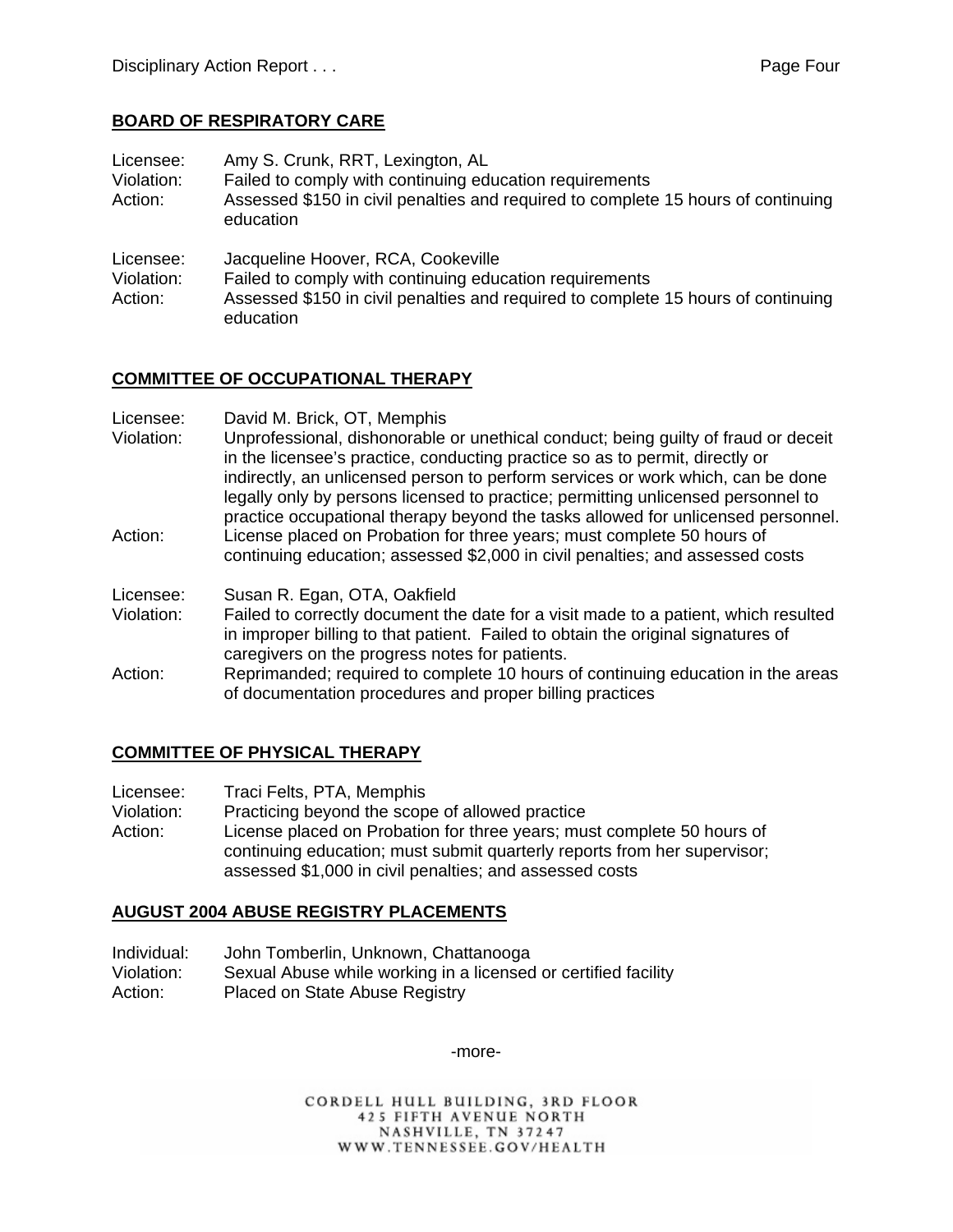#### **BOARD OF RESPIRATORY CARE**

Licensee: Amy S. Crunk, RRT, Lexington, AL Violation: Failed to comply with continuing education requirements Action: Assessed \$150 in civil penalties and required to complete 15 hours of continuing education

Licensee: Jacqueline Hoover, RCA, Cookeville

Violation: Failed to comply with continuing education requirements

Action: Assessed \$150 in civil penalties and required to complete 15 hours of continuing education

#### **COMMITTEE OF OCCUPATIONAL THERAPY**

Licensee: David M. Brick, OT, Memphis

Violation: Unprofessional, dishonorable or unethical conduct; being guilty of fraud or deceit in the licensee's practice, conducting practice so as to permit, directly or indirectly, an unlicensed person to perform services or work which, can be done legally only by persons licensed to practice; permitting unlicensed personnel to practice occupational therapy beyond the tasks allowed for unlicensed personnel. Action: License placed on Probation for three years; must complete 50 hours of continuing education; assessed \$2,000 in civil penalties; and assessed costs

Licensee: Susan R. Egan, OTA, Oakfield

Violation: Failed to correctly document the date for a visit made to a patient, which resulted in improper billing to that patient. Failed to obtain the original signatures of caregivers on the progress notes for patients.

Action: Reprimanded; required to complete 10 hours of continuing education in the areas of documentation procedures and proper billing practices

# **COMMITTEE OF PHYSICAL THERAPY**

Licensee: Traci Felts, PTA, Memphis

Violation: Practicing beyond the scope of allowed practice

Action: License placed on Probation for three years; must complete 50 hours of continuing education; must submit quarterly reports from her supervisor; assessed \$1,000 in civil penalties; and assessed costs

#### **AUGUST 2004 ABUSE REGISTRY PLACEMENTS**

| Individual: | John Tomberlin, Unknown, Chattanooga                           |
|-------------|----------------------------------------------------------------|
| Violation:  | Sexual Abuse while working in a licensed or certified facility |
| Action:     | Placed on State Abuse Registry                                 |

-more-